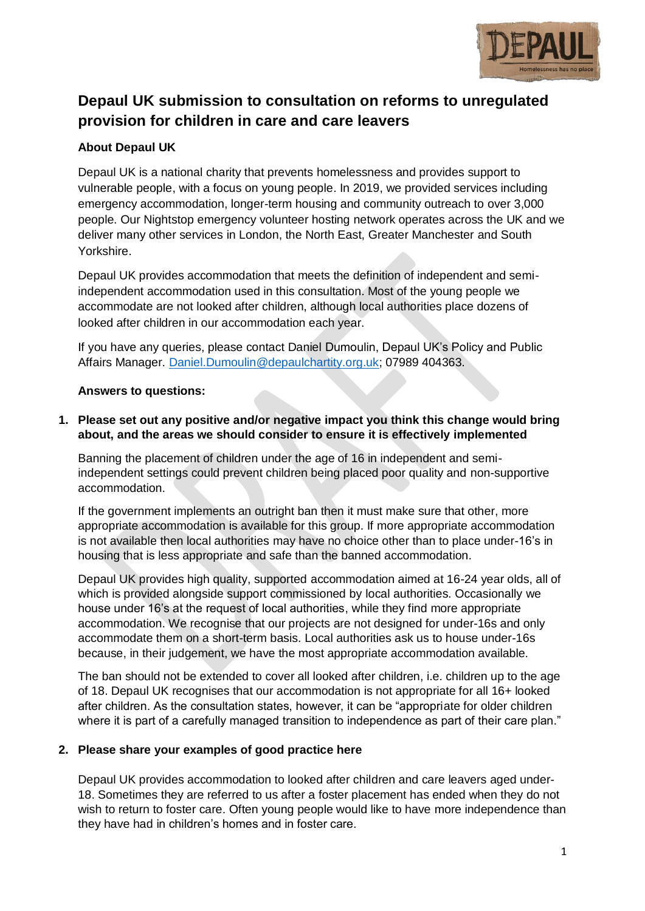

# **Depaul UK submission to consultation on reforms to unregulated provision for children in care and care leavers**

## **About Depaul UK**

Depaul UK is a national charity that prevents homelessness and provides support to vulnerable people, with a focus on young people. In 2019, we provided services including emergency accommodation, longer-term housing and community outreach to over 3,000 people. Our Nightstop emergency volunteer hosting network operates across the UK and we deliver many other services in London, the North East, Greater Manchester and South Yorkshire.

Depaul UK provides accommodation that meets the definition of independent and semiindependent accommodation used in this consultation. Most of the young people we accommodate are not looked after children, although local authorities place dozens of looked after children in our accommodation each year.

If you have any queries, please contact Daniel Dumoulin, Depaul UK's Policy and Public Affairs Manager. [Daniel.Dumoulin@depaulchartity.org.uk;](mailto:Daniel.Dumoulin@depaulchartity.org.uk) 07989 404363.

## **Answers to questions:**

## **1. Please set out any positive and/or negative impact you think this change would bring about, and the areas we should consider to ensure it is effectively implemented**

Banning the placement of children under the age of 16 in independent and semiindependent settings could prevent children being placed poor quality and non-supportive accommodation.

If the government implements an outright ban then it must make sure that other, more appropriate accommodation is available for this group. If more appropriate accommodation is not available then local authorities may have no choice other than to place under-16's in housing that is less appropriate and safe than the banned accommodation.

Depaul UK provides high quality, supported accommodation aimed at 16-24 year olds, all of which is provided alongside support commissioned by local authorities. Occasionally we house under 16's at the request of local authorities, while they find more appropriate accommodation. We recognise that our projects are not designed for under-16s and only accommodate them on a short-term basis. Local authorities ask us to house under-16s because, in their judgement, we have the most appropriate accommodation available.

The ban should not be extended to cover all looked after children, i.e. children up to the age of 18. Depaul UK recognises that our accommodation is not appropriate for all 16+ looked after children. As the consultation states, however, it can be "appropriate for older children where it is part of a carefully managed transition to independence as part of their care plan."

## **2. Please share your examples of good practice here**

Depaul UK provides accommodation to looked after children and care leavers aged under-18. Sometimes they are referred to us after a foster placement has ended when they do not wish to return to foster care. Often young people would like to have more independence than they have had in children's homes and in foster care.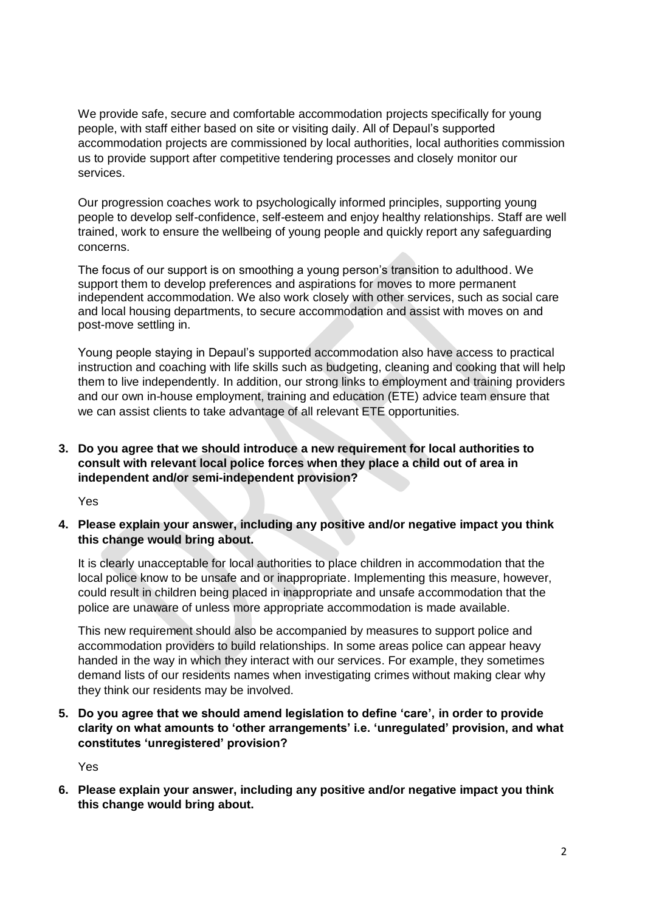We provide safe, secure and comfortable accommodation projects specifically for young people, with staff either based on site or visiting daily. All of Depaul's supported accommodation projects are commissioned by local authorities, local authorities commission us to provide support after competitive tendering processes and closely monitor our services.

Our progression coaches work to psychologically informed principles, supporting young people to develop self-confidence, self-esteem and enjoy healthy relationships. Staff are well trained, work to ensure the wellbeing of young people and quickly report any safeguarding concerns.

The focus of our support is on smoothing a young person's transition to adulthood. We support them to develop preferences and aspirations for moves to more permanent independent accommodation. We also work closely with other services, such as social care and local housing departments, to secure accommodation and assist with moves on and post-move settling in.

Young people staying in Depaul's supported accommodation also have access to practical instruction and coaching with life skills such as budgeting, cleaning and cooking that will help them to live independently. In addition, our strong links to employment and training providers and our own in-house employment, training and education (ETE) advice team ensure that we can assist clients to take advantage of all relevant ETE opportunities.

## **3. Do you agree that we should introduce a new requirement for local authorities to consult with relevant local police forces when they place a child out of area in independent and/or semi-independent provision?**

Yes

**4. Please explain your answer, including any positive and/or negative impact you think this change would bring about.**

It is clearly unacceptable for local authorities to place children in accommodation that the local police know to be unsafe and or inappropriate. Implementing this measure, however, could result in children being placed in inappropriate and unsafe accommodation that the police are unaware of unless more appropriate accommodation is made available.

This new requirement should also be accompanied by measures to support police and accommodation providers to build relationships. In some areas police can appear heavy handed in the way in which they interact with our services. For example, they sometimes demand lists of our residents names when investigating crimes without making clear why they think our residents may be involved.

**5. Do you agree that we should amend legislation to define 'care', in order to provide clarity on what amounts to 'other arrangements' i.e. 'unregulated' provision, and what constitutes 'unregistered' provision?**

Yes

**6. Please explain your answer, including any positive and/or negative impact you think this change would bring about.**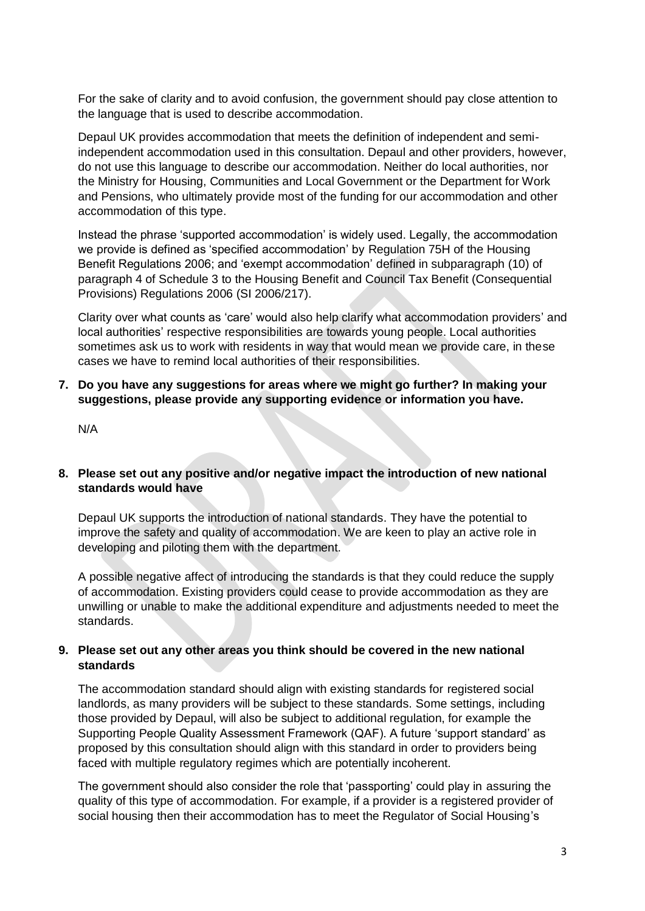For the sake of clarity and to avoid confusion, the government should pay close attention to the language that is used to describe accommodation.

Depaul UK provides accommodation that meets the definition of independent and semiindependent accommodation used in this consultation. Depaul and other providers, however, do not use this language to describe our accommodation. Neither do local authorities, nor the Ministry for Housing, Communities and Local Government or the Department for Work and Pensions, who ultimately provide most of the funding for our accommodation and other accommodation of this type.

Instead the phrase 'supported accommodation' is widely used. Legally, the accommodation we provide is defined as 'specified accommodation' by Regulation 75H of the Housing Benefit Regulations 2006; and 'exempt accommodation' defined in subparagraph (10) of paragraph 4 of Schedule 3 to the Housing Benefit and Council Tax Benefit (Consequential Provisions) Regulations 2006 (SI 2006/217).

Clarity over what counts as 'care' would also help clarify what accommodation providers' and local authorities' respective responsibilities are towards young people. Local authorities sometimes ask us to work with residents in way that would mean we provide care, in these cases we have to remind local authorities of their responsibilities.

**7. Do you have any suggestions for areas where we might go further? In making your suggestions, please provide any supporting evidence or information you have.**

N/A

## **8. Please set out any positive and/or negative impact the introduction of new national standards would have**

Depaul UK supports the introduction of national standards. They have the potential to improve the safety and quality of accommodation. We are keen to play an active role in developing and piloting them with the department.

A possible negative affect of introducing the standards is that they could reduce the supply of accommodation. Existing providers could cease to provide accommodation as they are unwilling or unable to make the additional expenditure and adjustments needed to meet the standards.

## **9. Please set out any other areas you think should be covered in the new national standards**

The accommodation standard should align with existing standards for registered social landlords, as many providers will be subject to these standards. Some settings, including those provided by Depaul, will also be subject to additional regulation, for example the Supporting People Quality Assessment Framework (QAF). A future 'support standard' as proposed by this consultation should align with this standard in order to providers being faced with multiple regulatory regimes which are potentially incoherent.

The government should also consider the role that 'passporting' could play in assuring the quality of this type of accommodation. For example, if a provider is a registered provider of social housing then their accommodation has to meet the Regulator of Social Housing's